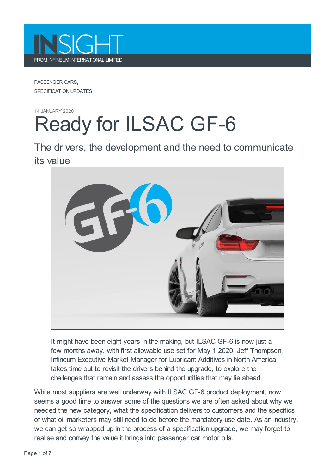

PASSENGER CARS, SPECIFICATION UPDATES

## 14 JANUARY 2020 Ready for ILSAC GF-6

The drivers, the development and the need to communicate its value



It might have been eight years in the making, but ILSAC GF-6 is now just a few months away, with first allowable use set for May 1 2020. Jeff Thompson, Infineum Executive Market Manager for Lubricant Additives in North America, takes time out to revisit the drivers behind the upgrade, to explore the challenges that remain and assess the opportunities that may lie ahead.

While most suppliers are well underway with ILSAC GF-6 product deployment, now seems a good time to answer some of the questions we are often asked about why we needed the new category, what the specification delivers to customers and the specifics of what oil marketers may still need to do before the mandatory use date. As an industry, we can get so wrapped up in the process of a specification upgrade, we may forget to realise and convey the value it brings into passenger car motor oils.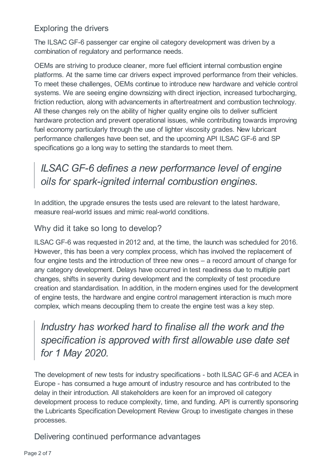#### Exploring the drivers

The ILSAC GF-6 passenger car engine oil category development was driven by a combination of regulatory and performance needs.

OEMs are striving to produce cleaner, more fuel efficient internal combustion engine platforms. At the same time car drivers expect improved performance from their vehicles. To meet these challenges, OEMs continue to introduce new hardware and vehicle control systems. We are seeing engine downsizing with direct injection, increased turbocharging, friction reduction, along with advancements in aftertreatment and combustion technology. All these changes rely on the ability of higher quality engine oils to deliver sufficient hardware protection and prevent operational issues, while contributing towards improving fuel economy particularly through the use of lighter viscosity grades. New lubricant performance challenges have been set, and the upcoming API ILSAC GF-6 and SP specifications go a long way to setting the standards to meet them.

## *ILSAC GF-6 defines a new performance level of engine oils for spark-ignited internal combustion engines.*

In addition, the upgrade ensures the tests used are relevant to the latest hardware, measure real-world issues and mimic real-world conditions.

#### Why did it take so long to develop?

ILSAC GF-6 was requested in 2012 and, at the time, the launch was scheduled for 2016. However, this has been a very complex process, which has involved the replacement of four engine tests and the introduction of three new ones – a record amount of change for any category development. Delays have occurred in test readiness due to multiple part changes, shifts in severity during development and the complexity of test procedure creation and standardisation. In addition, in the modern engines used for the development of engine tests, the hardware and engine control management interaction is much more complex, which means decoupling them to create the engine test was a key step.

*Industry has worked hard to finalise all the work and the specification is approved with first allowable use date set for 1 May 2020.*

The development of new tests for industry specifications - both ILSAC GF-6 and ACEA in Europe - has consumed a huge amount of industry resource and has contributed to the delay in their introduction. All stakeholders are keen for an improved oil category development process to reduce complexity, time, and funding. API is currently sponsoring the Lubricants Specification Development Review Group to investigate changes in these processes.

Delivering continued performance advantages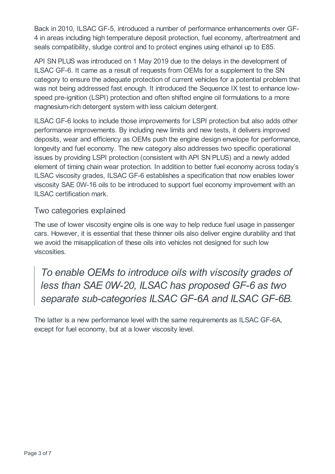Back in 2010, ILSAC GF-5, introduced a number of performance enhancements over GF-4 in areas including high temperature deposit protection, fuel economy, aftertreatment and seals compatibility, sludge control and to protect engines using ethanol up to E85.

API SN PLUS was introduced on 1 May 2019 due to the delays in the development of ILSAC GF-6. It came as a result of requests from OEMs for a supplement to the SN category to ensure the adequate protection of current vehicles for a potential problem that was not being addressed fast enough. It introduced the Sequence IX test to enhance lowspeed pre-ignition (LSPI) protection and often shifted engine oil formulations to a more magnesium-rich detergent system with less calcium detergent.

ILSAC GF-6 looks to include those improvements for LSPI protection but also adds other performance improvements. By including new limits and new tests, it delivers improved deposits, wear and efficiency as OEMs push the engine design envelope for performance, longevity and fuel economy. The new category also addresses two specific operational issues by providing LSPI protection (consistent with API SN PLUS) and a newly added element of timing chain wear protection. In addition to better fuel economy across today's ILSAC viscosity grades, ILSAC GF-6 establishes a specification that now enables lower viscosity SAE 0W-16 oils to be introduced to support fuel economy improvement with an ILSAC certification mark.

#### Two categories explained

The use of lower viscosity engine oils is one way to help reduce fuel usage in passenger cars. However, it is essential that these thinner oils also deliver engine durability and that we avoid the misapplication of these oils into vehicles not designed for such low viscosities.

*To enable OEMs to introduce oils with viscosity grades of less than SAE 0W-20, ILSAC has proposed GF-6 as two separate sub-categories ILSAC GF-6A and ILSAC GF-6B.*

The latter is a new performance level with the same requirements as ILSAC GF-6A, except for fuel economy, but at a lower viscosity level.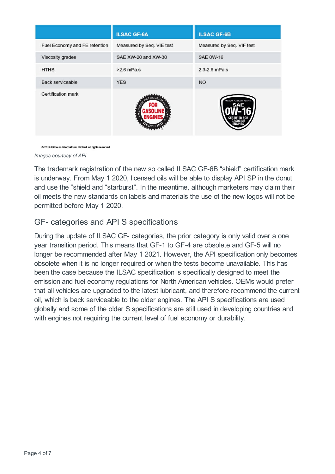|                               | <b>ILSAC GF-6A</b>        | <b>ILSAC GF-6B</b>        |
|-------------------------------|---------------------------|---------------------------|
| Fuel Economy and FE retention | Measured by Seq. VIE test | Measured by Seq. VIF test |
| Viscosity grades              | SAE XW-20 and XW-30       | <b>SAE 0W-16</b>          |
| <b>HTHS</b>                   | $>2.6$ mPa.s              | 2.3-2.6 mPa.s             |
| Back serviceable              | <b>YES</b>                | <b>NO</b>                 |
| Certification mark            |                           |                           |

@ 2019 Infineum International Limited. All rights reserved

*Images courtesy of API*

The trademark registration of the new so called ILSAC GF-6B "shield" certification mark is underway. From May 1 2020, licensed oils will be able to display API SP in the donut and use the "shield and "starburst". In the meantime, although marketers may claim their oil meets the new standards on labels and materials the use of the new logos will not be permitted before May 1 2020.

#### GF- categories and API S specifications

During the update of ILSAC GF- categories, the prior category is only valid over a one year transition period. This means that GF-1 to GF-4 are obsolete and GF-5 will no longer be recommended after May 1 2021. However, the API specification only becomes obsolete when it is no longer required or when the tests become unavailable. This has been the case because the ILSAC specification is specifically designed to meet the emission and fuel economy regulations for North American vehicles. OEMs would prefer that all vehicles are upgraded to the latest lubricant, and therefore recommend the current oil, which is back serviceable to the older engines. The API S specifications are used globally and some of the older S specifications are still used in developing countries and with engines not requiring the current level of fuel economy or durability.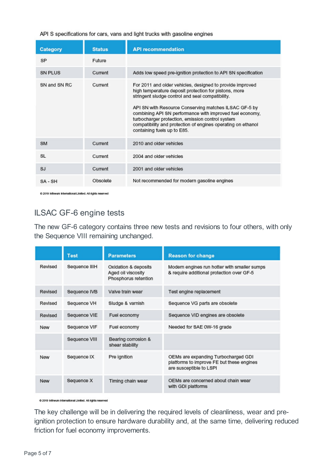| API S specifications for cars, vans and light trucks with gasoline engines |  |  |
|----------------------------------------------------------------------------|--|--|
|----------------------------------------------------------------------------|--|--|

| Category       | <b>Status</b> | <b>API recommendation</b>                                                                                                                                                                                                                                                                                                                                                                                                                      |  |
|----------------|---------------|------------------------------------------------------------------------------------------------------------------------------------------------------------------------------------------------------------------------------------------------------------------------------------------------------------------------------------------------------------------------------------------------------------------------------------------------|--|
| SP             | Future        |                                                                                                                                                                                                                                                                                                                                                                                                                                                |  |
| <b>SN PLUS</b> | Current       | Adds low speed pre-ignition protection to API SN specification                                                                                                                                                                                                                                                                                                                                                                                 |  |
| SN and SN RC   | Current       | For 2011 and older vehicles, designed to provide improved<br>high temperature deposit protection for pistons, more<br>stringent sludge control and seal compatibility.<br>API SN with Resource Conserving matches ILSAC GF-5 by<br>combining API SN performance with improved fuel economy,<br>turbocharger protection, emission control system<br>compatibility and protection of engines operating on ethanol<br>containing fuels up to E85. |  |
| <b>SM</b>      | Current       | 2010 and older vehicles                                                                                                                                                                                                                                                                                                                                                                                                                        |  |
| SL             | Current       | 2004 and older vehicles                                                                                                                                                                                                                                                                                                                                                                                                                        |  |
| SJ.            | Current       | 2001 and older vehicles                                                                                                                                                                                                                                                                                                                                                                                                                        |  |
| SA-SH          | Obsolete      | Not recommended for modern gasoline engines                                                                                                                                                                                                                                                                                                                                                                                                    |  |

@ 2019 Infineum International Limited. All rights reserved

#### ILSAC GF-6 engine tests

The new GF-6 category contains three new tests and revisions to four others, with only the Sequence VIII remaining unchanged.

|         | <b>Test</b>   | <b>Parameters</b>                                                  | <b>Reason for change</b>                                                                                    |
|---------|---------------|--------------------------------------------------------------------|-------------------------------------------------------------------------------------------------------------|
| Revised | Sequence IIIH | Oxidation & deposits<br>Aged oil viscosity<br>Phosphorus retention | Modern engines run hotter with smaller sumps<br>& require additional protection over GF-5                   |
| Revised | Sequence IVB  | Valve train wear                                                   | Test engine replacement                                                                                     |
| Revised | Sequence VH   | Sludge & varnish                                                   | Sequence VG parts are obsolete                                                                              |
| Revised | Sequence VIE  | Fuel economy                                                       | Sequence VID engines are obsolete                                                                           |
| New     | Sequence VIF  | Fuel economy                                                       | Needed for SAE 0W-16 grade                                                                                  |
|         | Sequence VIII | Bearing corrosion &<br>shear stability                             |                                                                                                             |
| New     | Sequence IX   | Pre ignition                                                       | OEMs are expanding Turbocharged GDI<br>platforms to improve FE but these engines<br>are susceptible to LSPI |
| New     | Sequence X    | Timing chain wear                                                  | OEMs are concerned about chain wear<br>with GDI platforms                                                   |

@ 2019 Infineum International Limited. All rights reserved

The key challenge will be in delivering the required levels of cleanliness, wear and preignition protection to ensure hardware durability and, at the same time, delivering reduced friction for fuel economy improvements.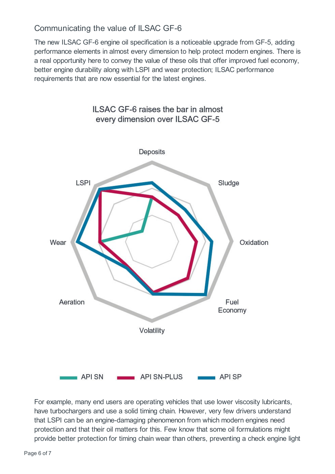#### Communicating the value of ILSAC GF-6

The new ILSAC GF-6 engine oil specification is a noticeable upgrade from GF-5, adding performance elements in almost every dimension to help protect modern engines. There is a real opportunity here to convey the value of these oils that offer improved fuel economy, better engine durability along with LSPI and wear protection; ILSAC performance requirements that are now essential for the latest engines.



For example, many end users are operating vehicles that use lower viscosity lubricants, have turbochargers and use a solid timing chain. However, very few drivers understand that LSPI can be an engine-damaging phenomenon from which modern engines need protection and that their oil matters for this. Few know that some oil formulations might provide better protection for timing chain wear than others, preventing a check engine light